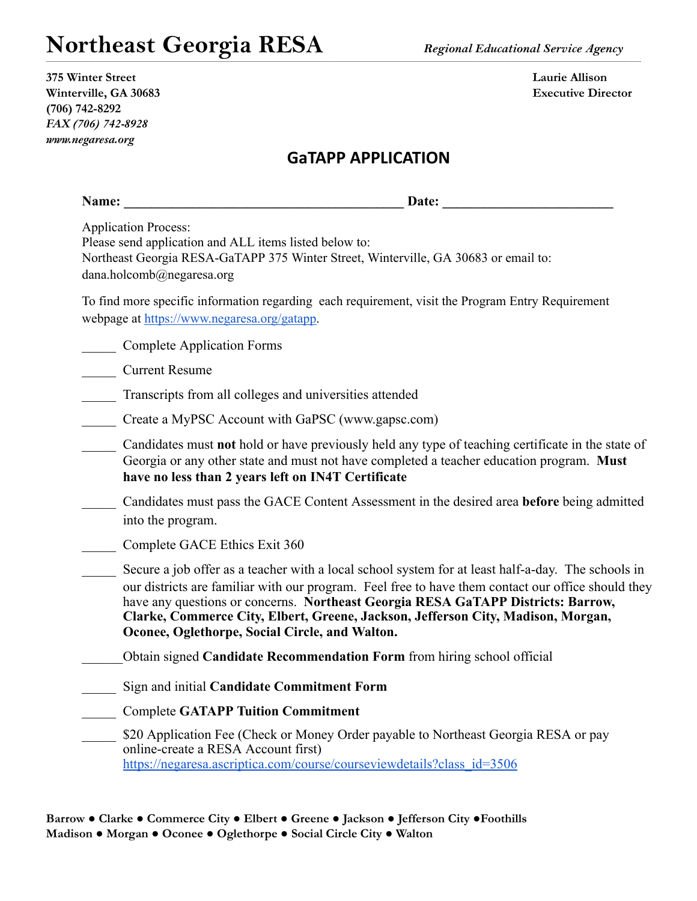| 375 Winter Street     |
|-----------------------|
| Winterville, GA 30683 |
| $(706) 742 - 8292$    |
| FAX (706) 742-8928    |
| www.negaresa.org      |

**375 Winter Street Laurie Allison Executive Director** 

### **GaTAPP APPLICATION**

,一个人都是一个人的人,一个人都是一个人的人,一个人都是一个人的人,一个人都是一个人的人,一个人都是一个人的人,一个人都是一个人的人,一个人都是一个人的人,一个人

| Name:                                                                                                              | Date:                                                                                                                                                                                                                                                                                                                                                                                                                              |
|--------------------------------------------------------------------------------------------------------------------|------------------------------------------------------------------------------------------------------------------------------------------------------------------------------------------------------------------------------------------------------------------------------------------------------------------------------------------------------------------------------------------------------------------------------------|
| <b>Application Process:</b><br>Please send application and ALL items listed below to:<br>dana.holcomb@negaresa.org | Northeast Georgia RESA-GaTAPP 375 Winter Street, Winterville, GA 30683 or email to:                                                                                                                                                                                                                                                                                                                                                |
| webpage at https://www.negaresa.org/gatapp.                                                                        | To find more specific information regarding each requirement, visit the Program Entry Requirement                                                                                                                                                                                                                                                                                                                                  |
| <b>Complete Application Forms</b>                                                                                  |                                                                                                                                                                                                                                                                                                                                                                                                                                    |
| <b>Current Resume</b>                                                                                              |                                                                                                                                                                                                                                                                                                                                                                                                                                    |
|                                                                                                                    | Transcripts from all colleges and universities attended                                                                                                                                                                                                                                                                                                                                                                            |
|                                                                                                                    | Create a MyPSC Account with GaPSC (www.gapsc.com)                                                                                                                                                                                                                                                                                                                                                                                  |
|                                                                                                                    | Candidates must not hold or have previously held any type of teaching certificate in the state of<br>Georgia or any other state and must not have completed a teacher education program. Must<br>have no less than 2 years left on IN4T Certificate                                                                                                                                                                                |
| into the program.                                                                                                  | Candidates must pass the GACE Content Assessment in the desired area before being admitted                                                                                                                                                                                                                                                                                                                                         |
| Complete GACE Ethics Exit 360                                                                                      |                                                                                                                                                                                                                                                                                                                                                                                                                                    |
|                                                                                                                    | Secure a job offer as a teacher with a local school system for at least half-a-day. The schools in<br>our districts are familiar with our program. Feel free to have them contact our office should they<br>have any questions or concerns. Northeast Georgia RESA GaTAPP Districts: Barrow,<br>Clarke, Commerce City, Elbert, Greene, Jackson, Jefferson City, Madison, Morgan,<br>Oconee, Oglethorpe, Social Circle, and Walton. |
|                                                                                                                    | Obtain signed Candidate Recommendation Form from hiring school official                                                                                                                                                                                                                                                                                                                                                            |
|                                                                                                                    | Sign and initial Candidate Commitment Form                                                                                                                                                                                                                                                                                                                                                                                         |
|                                                                                                                    | <b>Complete GATAPP Tuition Commitment</b>                                                                                                                                                                                                                                                                                                                                                                                          |
| online-create a RESA Account first)                                                                                | \$20 Application Fee (Check or Money Order payable to Northeast Georgia RESA or pay                                                                                                                                                                                                                                                                                                                                                |

[https://negaresa.ascriptica.com/course/courseviewdetails?class\\_id=3506](https://negaresa.ascriptica.com/course/courseviewdetails?class_id=3506)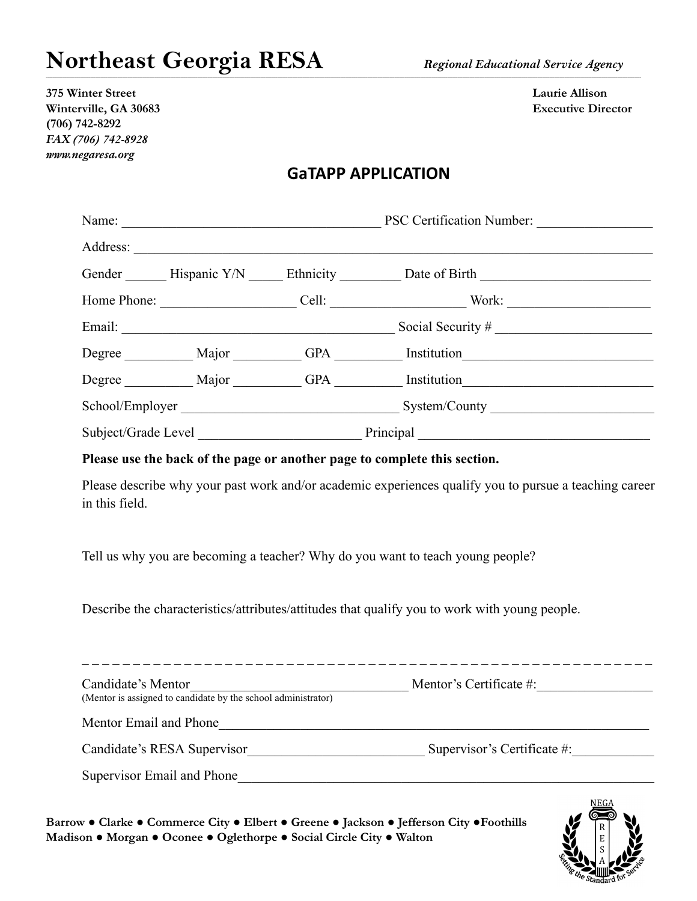**375 Winter Street Laurie Allison Winterville, GA 30683 Executive Director (706) 742-8292** *FAX (706) 742-8928 www.negaresa.org*

#### **GaTAPP APPLICATION**

,一个人都是一个人的人,一个人都是一个人的人,一个人都是一个人的人,一个人都是一个人的人,一个人都是一个人的人,一个人都是一个人的人,一个人都是一个人的人,一个人

|  |  |  | PSC Certification Number:                                                                            |  |
|--|--|--|------------------------------------------------------------------------------------------------------|--|
|  |  |  |                                                                                                      |  |
|  |  |  | Gender ________ Hispanic Y/N _______ Ethnicity ____________ Date of Birth __________________________ |  |
|  |  |  |                                                                                                      |  |
|  |  |  | Social Security $#$                                                                                  |  |
|  |  |  | Degree Major GPA Institution                                                                         |  |
|  |  |  | Degree Major GPA Institution                                                                         |  |
|  |  |  | School/Employer System/County                                                                        |  |
|  |  |  |                                                                                                      |  |

**Please use the back of the page or another page to complete this section.**

Please describe why your past work and/or academic experiences qualify you to pursue a teaching career in this field.

Tell us why you are becoming a teacher? Why do you want to teach young people?

Describe the characteristics/attributes/attitudes that qualify you to work with young people.

| Candidate's Mentor<br>(Mentor is assigned to candidate by the school administrator) | Mentor's Certificate $\#$ : |
|-------------------------------------------------------------------------------------|-----------------------------|
| Mentor Email and Phone                                                              |                             |
| Candidate's RESA Supervisor                                                         | Supervisor's Certificate #: |
| Supervisor Email and Phone                                                          |                             |

**Barrow ● Clarke ● Commerce City ● Elbert ● Greene ● Jackson ● Jefferson City ●Foothills Madison ● Morgan ● Oconee ● Oglethorpe ● Social Circle City ● Walton**

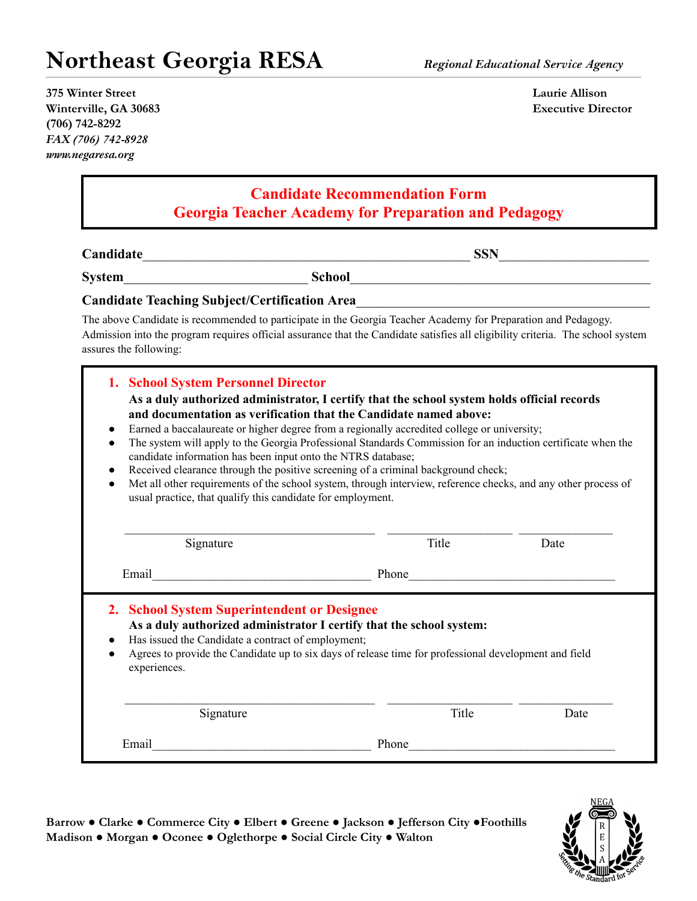**375 Winter Street Laurie Allison Winterville, GA 30683 Executive Director (706) 742-8292** *FAX (706) 742-8928 www.negaresa.org*

#### **Candidate Recommendation Form Georgia Teacher Academy for Preparation and Pedagogy**

,一个人都是一个人的人,一个人都是一个人的人,一个人都是一个人的人,一个人都是一个人的人,一个人都是一个人的人,一个人都是一个人的人,一个人都是一个人的人,一个人

**Candidate**\_\_\_\_\_\_\_\_\_\_\_\_\_\_\_\_\_\_\_\_\_\_\_\_\_\_\_\_\_\_\_\_\_\_\_\_\_\_\_\_\_\_\_\_\_\_\_\_ **SSN**\_\_\_\_\_\_\_\_\_\_\_\_\_\_\_\_\_\_\_\_\_\_

**System**\_\_\_\_\_\_\_\_\_\_\_\_\_\_\_\_\_\_\_\_\_\_\_\_\_\_\_ **School**\_\_\_\_\_\_\_\_\_\_\_\_\_\_\_\_\_\_\_\_\_\_\_\_\_\_\_\_\_\_\_\_\_\_\_\_\_\_\_\_\_\_\_\_

#### **Candidate Teaching Subject/Certification Area**\_\_\_\_\_\_\_\_\_\_\_\_\_\_\_\_\_\_\_\_\_\_\_\_\_\_\_\_\_\_\_\_\_\_\_\_\_\_\_\_\_\_\_

The above Candidate is recommended to participate in the Georgia Teacher Academy for Preparation and Pedagogy. Admission into the program requires official assurance that the Candidate satisfies all eligibility criteria. The school system assures the following:

| 1. School System Personnel Director<br>As a duly authorized administrator, I certify that the school system holds official records<br>and documentation as verification that the Candidate named above:<br>Earned a baccalaureate or higher degree from a regionally accredited college or university;<br>$\bullet$<br>The system will apply to the Georgia Professional Standards Commission for an induction certificate when the<br>$\bullet$<br>candidate information has been input onto the NTRS database;<br>Received clearance through the positive screening of a criminal background check;<br>$\bullet$<br>Met all other requirements of the school system, through interview, reference checks, and any other process of<br>$\bullet$<br>usual practice, that qualify this candidate for employment. |       |      |
|------------------------------------------------------------------------------------------------------------------------------------------------------------------------------------------------------------------------------------------------------------------------------------------------------------------------------------------------------------------------------------------------------------------------------------------------------------------------------------------------------------------------------------------------------------------------------------------------------------------------------------------------------------------------------------------------------------------------------------------------------------------------------------------------------------------|-------|------|
| Signature                                                                                                                                                                                                                                                                                                                                                                                                                                                                                                                                                                                                                                                                                                                                                                                                        | Title | Date |
| Email                                                                                                                                                                                                                                                                                                                                                                                                                                                                                                                                                                                                                                                                                                                                                                                                            | Phone |      |
| 2. School System Superintendent or Designee<br>As a duly authorized administrator I certify that the school system:<br>Has issued the Candidate a contract of employment;<br>Agrees to provide the Candidate up to six days of release time for professional development and field<br>experiences.                                                                                                                                                                                                                                                                                                                                                                                                                                                                                                               |       |      |
| Signature                                                                                                                                                                                                                                                                                                                                                                                                                                                                                                                                                                                                                                                                                                                                                                                                        | Title | Date |
|                                                                                                                                                                                                                                                                                                                                                                                                                                                                                                                                                                                                                                                                                                                                                                                                                  |       |      |

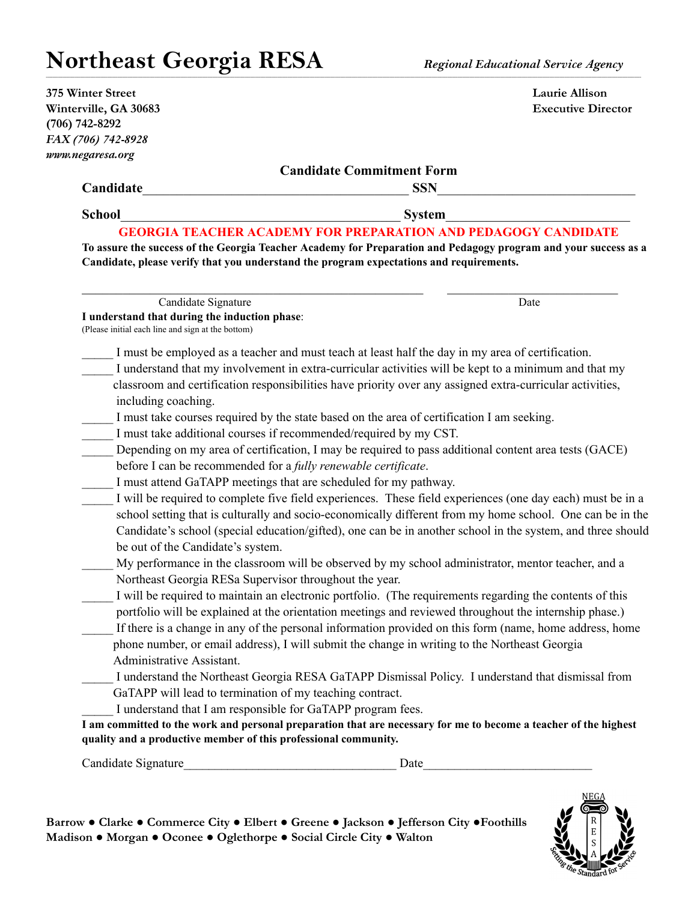| 375 Winter Street                                                                          | Laurie Allison                                                                                                                                                                           |
|--------------------------------------------------------------------------------------------|------------------------------------------------------------------------------------------------------------------------------------------------------------------------------------------|
| Winterville, GA 30683                                                                      | <b>Executive Director</b>                                                                                                                                                                |
| $(706) 742 - 8292$                                                                         |                                                                                                                                                                                          |
| FAX (706) 742-8928                                                                         |                                                                                                                                                                                          |
| www.negaresa.org                                                                           |                                                                                                                                                                                          |
|                                                                                            | <b>Candidate Commitment Form</b>                                                                                                                                                         |
| Candidate                                                                                  | <b>SSN</b>                                                                                                                                                                               |
| <b>School</b>                                                                              | <b>System</b>                                                                                                                                                                            |
| Candidate, please verify that you understand the program expectations and requirements.    | <b>GEORGIA TEACHER ACADEMY FOR PREPARATION AND PEDAGOGY CANDIDATE</b><br>To assure the success of the Georgia Teacher Academy for Preparation and Pedagogy program and your success as a |
| Candidate Signature                                                                        | Date                                                                                                                                                                                     |
| I understand that during the induction phase:                                              |                                                                                                                                                                                          |
| (Please initial each line and sign at the bottom)                                          |                                                                                                                                                                                          |
|                                                                                            | I must be employed as a teacher and must teach at least half the day in my area of certification.                                                                                        |
|                                                                                            | I understand that my involvement in extra-curricular activities will be kept to a minimum and that my                                                                                    |
|                                                                                            | classroom and certification responsibilities have priority over any assigned extra-curricular activities,                                                                                |
| including coaching.                                                                        |                                                                                                                                                                                          |
| I must take courses required by the state based on the area of certification I am seeking. |                                                                                                                                                                                          |
| I must take additional courses if recommended/required by my CST.                          |                                                                                                                                                                                          |
|                                                                                            | Depending on my area of certification, I may be required to pass additional content area tests (GACE)                                                                                    |
| before I can be recommended for a fully renewable certificate.                             |                                                                                                                                                                                          |
| I must attend GaTAPP meetings that are scheduled for my pathway.                           |                                                                                                                                                                                          |
|                                                                                            | I will be required to complete five field experiences. These field experiences (one day each) must be in a                                                                               |
|                                                                                            | school setting that is culturally and socio-economically different from my home school. One can be in the                                                                                |
|                                                                                            | Candidate's school (special education/gifted), one can be in another school in the system, and three should                                                                              |
| be out of the Candidate's system.                                                          |                                                                                                                                                                                          |
|                                                                                            | My performance in the classroom will be observed by my school administrator, mentor teacher, and a                                                                                       |
| Northeast Georgia RESa Supervisor throughout the year.                                     |                                                                                                                                                                                          |
|                                                                                            | I will be required to maintain an electronic portfolio. (The requirements regarding the contents of this                                                                                 |
|                                                                                            | portfolio will be explained at the orientation meetings and reviewed throughout the internship phase.)                                                                                   |
|                                                                                            | If there is a change in any of the personal information provided on this form (name, home address, home                                                                                  |
|                                                                                            | phone number, or email address), I will submit the change in writing to the Northeast Georgia                                                                                            |
| Administrative Assistant.                                                                  |                                                                                                                                                                                          |
|                                                                                            | I understand the Northeast Georgia RESA GaTAPP Dismissal Policy. I understand that dismissal from                                                                                        |
| GaTAPP will lead to termination of my teaching contract.                                   |                                                                                                                                                                                          |
| I understand that I am responsible for GaTAPP program fees.                                |                                                                                                                                                                                          |
|                                                                                            | I am committed to the work and personal preparation that are necessary for me to become a teacher of the highest                                                                         |
|                                                                                            |                                                                                                                                                                                          |
| quality and a productive member of this professional community.                            |                                                                                                                                                                                          |